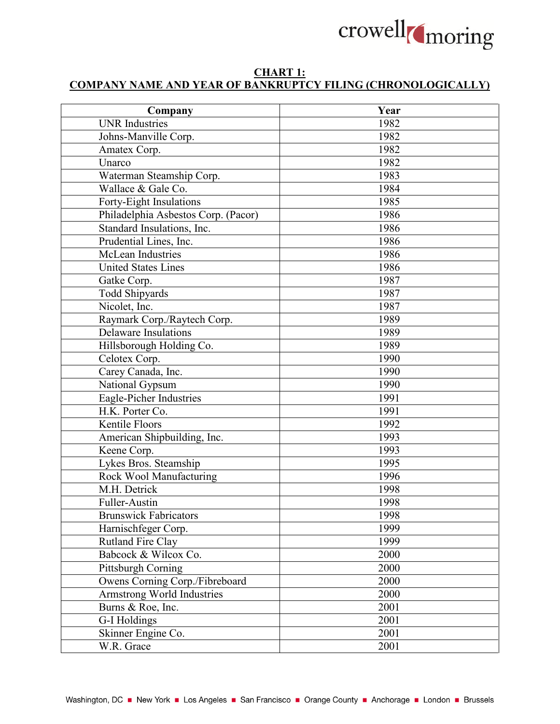

## **CHART 1: COMPANY NAME AND YEAR OF BANKRUPTCY FILING (CHRONOLOGICALLY)**

|                                                                | Year |
|----------------------------------------------------------------|------|
| Company<br><b>UNR</b> Industries                               | 1982 |
| Johns-Manville Corp.                                           | 1982 |
| Amatex Corp.                                                   | 1982 |
| Unarco                                                         | 1982 |
|                                                                | 1983 |
| Waterman Steamship Corp.<br>Wallace & Gale Co.                 | 1984 |
|                                                                | 1985 |
| Forty-Eight Insulations<br>Philadelphia Asbestos Corp. (Pacor) | 1986 |
|                                                                |      |
| Standard Insulations, Inc.                                     | 1986 |
| Prudential Lines, Inc.                                         | 1986 |
| McLean Industries                                              | 1986 |
| <b>United States Lines</b>                                     | 1986 |
| Gatke Corp.                                                    | 1987 |
| <b>Todd Shipyards</b>                                          | 1987 |
| Nicolet, Inc.                                                  | 1987 |
| Raymark Corp./Raytech Corp.                                    | 1989 |
| <b>Delaware Insulations</b>                                    | 1989 |
| Hillsborough Holding Co.                                       | 1989 |
| Celotex Corp.                                                  | 1990 |
| Carey Canada, Inc.                                             | 1990 |
| National Gypsum                                                | 1990 |
| Eagle-Picher Industries                                        | 1991 |
| H.K. Porter Co.                                                | 1991 |
| Kentile Floors                                                 | 1992 |
| American Shipbuilding, Inc.                                    | 1993 |
| Keene Corp.                                                    | 1993 |
| Lykes Bros. Steamship                                          | 1995 |
| Rock Wool Manufacturing                                        | 1996 |
| M.H. Detrick                                                   | 1998 |
| Fuller-Austin                                                  | 1998 |
| <b>Brunswick Fabricators</b>                                   | 1998 |
| Harnischfeger Corp.                                            | 1999 |
| <b>Rutland Fire Clay</b>                                       | 1999 |
| Babcock & Wilcox Co.                                           | 2000 |
| Pittsburgh Corning                                             | 2000 |
| Owens Corning Corp./Fibreboard                                 | 2000 |
| Armstrong World Industries                                     | 2000 |
| Burns & Roe, Inc.                                              | 2001 |
| G-I Holdings                                                   | 2001 |
| Skinner Engine Co.                                             | 2001 |
| W.R. Grace                                                     | 2001 |
|                                                                |      |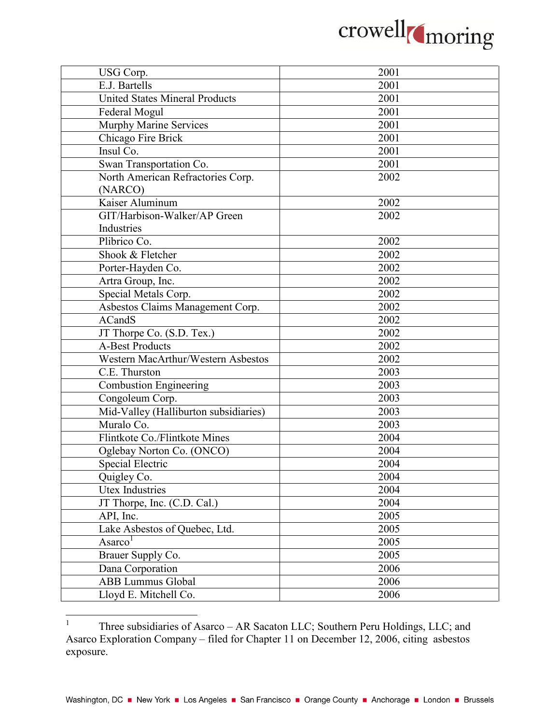

| USG Corp.                             | 2001 |
|---------------------------------------|------|
| E.J. Bartells                         | 2001 |
| <b>United States Mineral Products</b> | 2001 |
| Federal Mogul                         | 2001 |
| <b>Murphy Marine Services</b>         | 2001 |
| Chicago Fire Brick                    | 2001 |
| Insul Co.                             | 2001 |
| Swan Transportation Co.               | 2001 |
| North American Refractories Corp.     | 2002 |
| (NARCO)                               |      |
| Kaiser Aluminum                       | 2002 |
| GIT/Harbison-Walker/AP Green          | 2002 |
| Industries                            |      |
| Plibrico Co.                          | 2002 |
| Shook & Fletcher                      | 2002 |
| Porter-Hayden Co.                     | 2002 |
| Artra Group, Inc.                     | 2002 |
| Special Metals Corp.                  | 2002 |
| Asbestos Claims Management Corp.      | 2002 |
| <b>ACandS</b>                         | 2002 |
| JT Thorpe Co. (S.D. Tex.)             | 2002 |
| <b>A-Best Products</b>                | 2002 |
| Western MacArthur/Western Asbestos    | 2002 |
| C.E. Thurston                         | 2003 |
| Combustion Engineering                | 2003 |
| Congoleum Corp.                       | 2003 |
| Mid-Valley (Halliburton subsidiaries) | 2003 |
| Muralo Co.                            | 2003 |
| Flintkote Co./Flintkote Mines         | 2004 |
| Oglebay Norton Co. (ONCO)             | 2004 |
| <b>Special Electric</b>               | 2004 |
| Quigley Co.                           | 2004 |
| Utex Industries                       | 2004 |
| JT Thorpe, Inc. (C.D. Cal.)           | 2004 |
| API, Inc.                             | 2005 |
| Lake Asbestos of Quebec, Ltd.         | 2005 |
| Asarco                                | 2005 |
| Brauer Supply Co.                     | 2005 |
| Dana Corporation                      | 2006 |
| <b>ABB Lummus Global</b>              | 2006 |
| Lloyd E. Mitchell Co.                 | 2006 |
|                                       |      |

<span id="page-1-0"></span><sup>1</sup> Three subsidiaries of Asarco – AR Sacaton LLC; Southern Peru Holdings, LLC; and Asarco Exploration Company – filed for Chapter 11 on December 12, 2006, citing asbestos exposure.